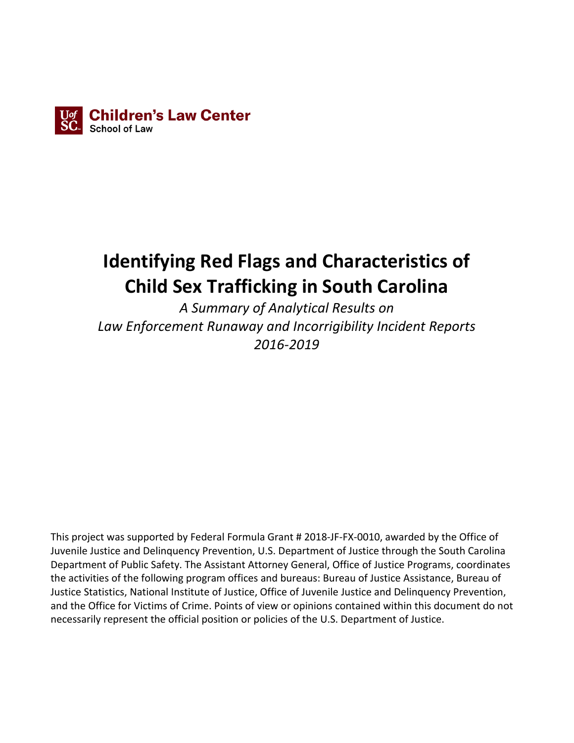

# **Identifying Red Flags and Characteristics of Child Sex Trafficking in South Carolina**

*A Summary of Analytical Results on Law Enforcement Runaway and Incorrigibility Incident Reports 2016-2019*

This project was supported by Federal Formula Grant # 2018-JF-FX-0010, awarded by the Office of Juvenile Justice and Delinquency Prevention, U.S. Department of Justice through the South Carolina Department of Public Safety. The Assistant Attorney General, Office of Justice Programs, coordinates the activities of the following program offices and bureaus: Bureau of Justice Assistance, Bureau of Justice Statistics, National Institute of Justice, Office of Juvenile Justice and Delinquency Prevention, and the Office for Victims of Crime. Points of view or opinions contained within this document do not necessarily represent the official position or policies of the U.S. Department of Justice.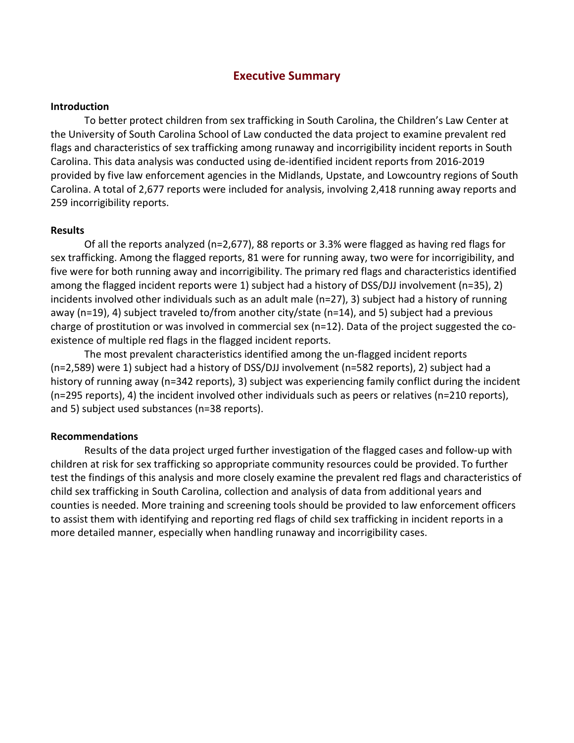## **Executive Summary**

#### **Introduction**

To better protect children from sex trafficking in South Carolina, the Children's Law Center at the University of South Carolina School of Law conducted the data project to examine prevalent red flags and characteristics of sex trafficking among runaway and incorrigibility incident reports in South Carolina. This data analysis was conducted using de-identified incident reports from 2016-2019 provided by five law enforcement agencies in the Midlands, Upstate, and Lowcountry regions of South Carolina. A total of 2,677 reports were included for analysis, involving 2,418 running away reports and 259 incorrigibility reports.

#### **Results**

Of all the reports analyzed (n=2,677), 88 reports or 3.3% were flagged as having red flags for sex trafficking. Among the flagged reports, 81 were for running away, two were for incorrigibility, and five were for both running away and incorrigibility. The primary red flags and characteristics identified among the flagged incident reports were 1) subject had a history of DSS/DJJ involvement (n=35), 2) incidents involved other individuals such as an adult male (n=27), 3) subject had a history of running away (n=19), 4) subject traveled to/from another city/state (n=14), and 5) subject had a previous charge of prostitution or was involved in commercial sex (n=12). Data of the project suggested the coexistence of multiple red flags in the flagged incident reports.

The most prevalent characteristics identified among the un-flagged incident reports (n=2,589) were 1) subject had a history of DSS/DJJ involvement (n=582 reports), 2) subject had a history of running away (n=342 reports), 3) subject was experiencing family conflict during the incident (n=295 reports), 4) the incident involved other individuals such as peers or relatives (n=210 reports), and 5) subject used substances (n=38 reports).

#### **Recommendations**

Results of the data project urged further investigation of the flagged cases and follow-up with children at risk for sex trafficking so appropriate community resources could be provided. To further test the findings of this analysis and more closely examine the prevalent red flags and characteristics of child sex trafficking in South Carolina, collection and analysis of data from additional years and counties is needed. More training and screening tools should be provided to law enforcement officers to assist them with identifying and reporting red flags of child sex trafficking in incident reports in a more detailed manner, especially when handling runaway and incorrigibility cases.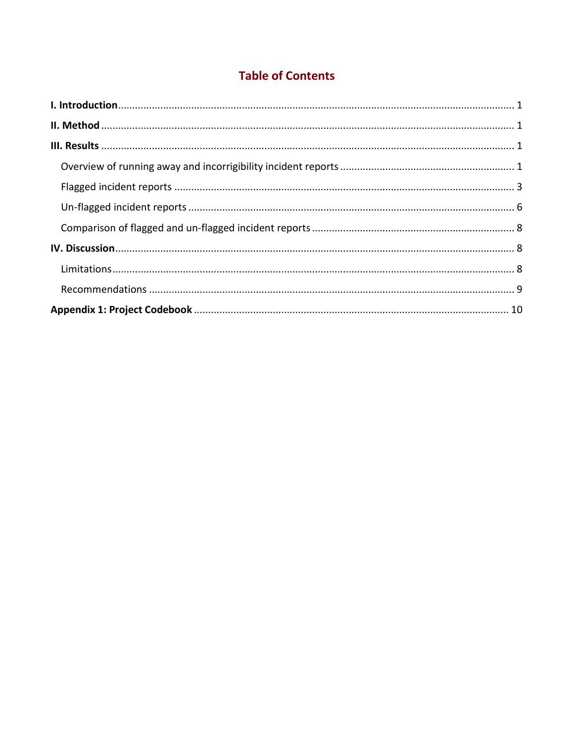# **Table of Contents**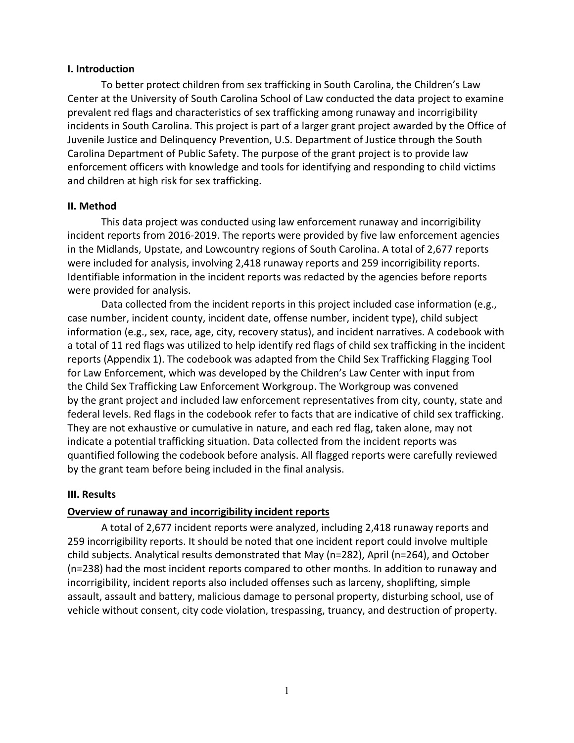#### <span id="page-3-0"></span>**I. Introduction**

To better protect children from sex trafficking in South Carolina, the Children's Law Center at the University of South Carolina School of Law conducted the data project to examine prevalent red flags and characteristics of sex trafficking among runaway and incorrigibility incidents in South Carolina. This project is part of a larger grant project awarded by the Office of Juvenile Justice and Delinquency Prevention, U.S. Department of Justice through the South Carolina Department of Public Safety. The purpose of the grant project is to provide law enforcement officers with knowledge and tools for identifying and responding to child victims and children at high risk for sex trafficking.

#### <span id="page-3-1"></span>**II. Method**

This data project was conducted using law enforcement runaway and incorrigibility incident reports from 2016-2019. The reports were provided by five law enforcement agencies in the Midlands, Upstate, and Lowcountry regions of South Carolina. A total of 2,677 reports were included for analysis, involving 2,418 runaway reports and 259 incorrigibility reports. Identifiable information in the incident reports was redacted by the agencies before reports were provided for analysis.

Data collected from the incident reports in this project included case information (e.g., case number, incident county, incident date, offense number, incident type), child subject information (e.g., sex, race, age, city, recovery status), and incident narratives. A codebook with a total of 11 red flags was utilized to help identify red flags of child sex trafficking in the incident reports (Appendix 1). The codebook was adapted from the Child Sex Trafficking Flagging Tool for Law Enforcement, which was developed by the Children's Law Center with input from the Child Sex Trafficking Law Enforcement Workgroup. The Workgroup was convened by the grant project and included law enforcement representatives from city, county, state and federal levels. Red flags in the codebook refer to facts that are indicative of child sex trafficking. They are not exhaustive or cumulative in nature, and each red flag, taken alone, may not indicate a potential trafficking situation. Data collected from the incident reports was quantified following the codebook before analysis. All flagged reports were carefully reviewed by the grant team before being included in the final analysis.

#### <span id="page-3-2"></span>**III. Results**

#### <span id="page-3-3"></span>**Overview of runaway and incorrigibility incident reports**

A total of 2,677 incident reports were analyzed, including 2,418 runaway reports and 259 incorrigibility reports. It should be noted that one incident report could involve multiple child subjects. Analytical results demonstrated that May (n=282), April (n=264), and October (n=238) had the most incident reports compared to other months. In addition to runaway and incorrigibility, incident reports also included offenses such as larceny, shoplifting, simple assault, assault and battery, malicious damage to personal property, disturbing school, use of vehicle without consent, city code violation, trespassing, truancy, and destruction of property.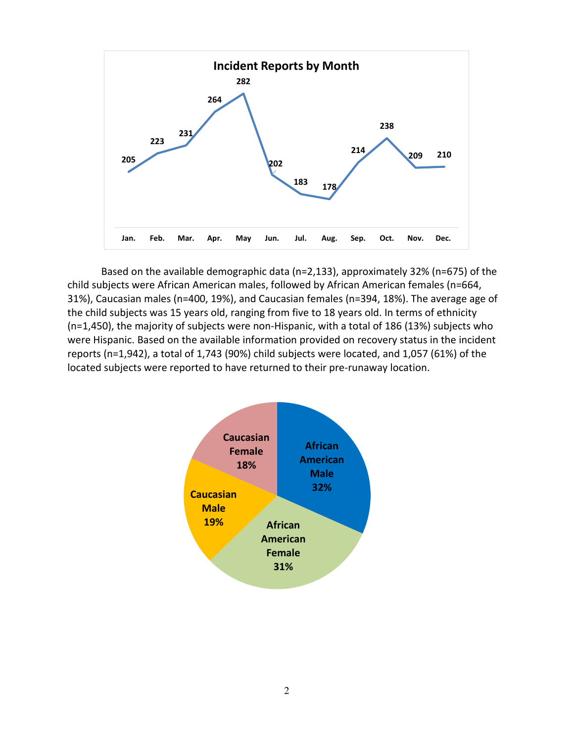

Based on the available demographic data (n=2,133), approximately 32% (n=675) of the child subjects were African American males, followed by African American females (n=664, 31%), Caucasian males (n=400, 19%), and Caucasian females (n=394, 18%). The average age of the child subjects was 15 years old, ranging from five to 18 years old. In terms of ethnicity (n=1,450), the majority of subjects were non-Hispanic, with a total of 186 (13%) subjects who were Hispanic. Based on the available information provided on recovery status in the incident reports (n=1,942), a total of 1,743 (90%) child subjects were located, and 1,057 (61%) of the located subjects were reported to have returned to their pre-runaway location.

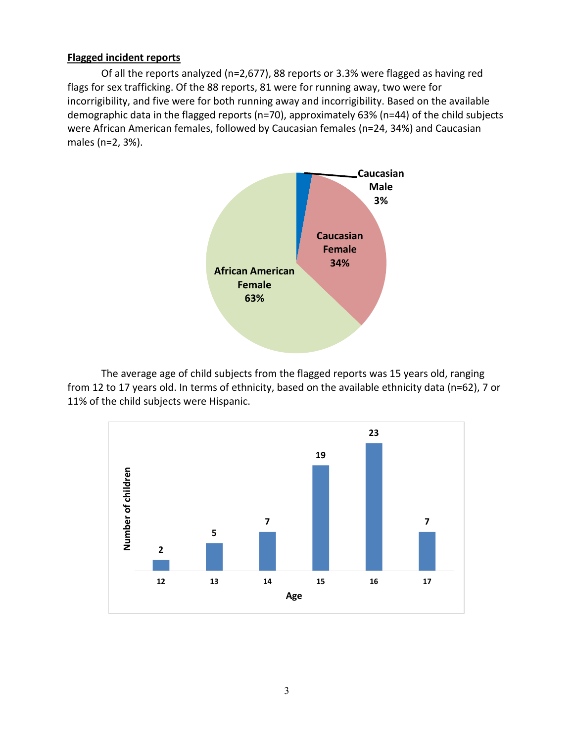#### <span id="page-5-0"></span>**Flagged incident reports**

Of all the reports analyzed (n=2,677), 88 reports or 3.3% were flagged as having red flags for sex trafficking. Of the 88 reports, 81 were for running away, two were for incorrigibility, and five were for both running away and incorrigibility. Based on the available demographic data in the flagged reports (n=70), approximately 63% (n=44) of the child subjects were African American females, followed by Caucasian females (n=24, 34%) and Caucasian males (n=2, 3%).



The average age of child subjects from the flagged reports was 15 years old, ranging from 12 to 17 years old. In terms of ethnicity, based on the available ethnicity data (n=62), 7 or 11% of the child subjects were Hispanic.

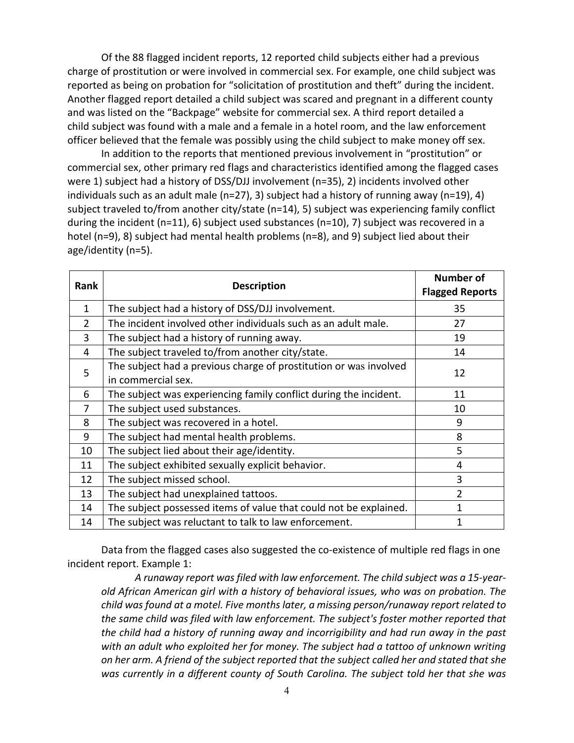Of the 88 flagged incident reports, 12 reported child subjects either had a previous charge of prostitution or were involved in commercial sex. For example, one child subject was reported as being on probation for "solicitation of prostitution and theft" during the incident. Another flagged report detailed a child subject was scared and pregnant in a different county and was listed on the "Backpage" website for commercial sex. A third report detailed a child subject was found with a male and a female in a hotel room, and the law enforcement officer believed that the female was possibly using the child subject to make money off sex.

In addition to the reports that mentioned previous involvement in "prostitution" or commercial sex, other primary red flags and characteristics identified among the flagged cases were 1) subject had a history of DSS/DJJ involvement (n=35), 2) incidents involved other individuals such as an adult male (n=27), 3) subject had a history of running away (n=19), 4) subject traveled to/from another city/state (n=14), 5) subject was experiencing family conflict during the incident (n=11), 6) subject used substances (n=10), 7) subject was recovered in a hotel (n=9), 8) subject had mental health problems (n=8), and 9) subject lied about their age/identity (n=5).

| <b>Rank</b>    |                                                                   | <b>Number of</b>       |
|----------------|-------------------------------------------------------------------|------------------------|
|                | <b>Description</b>                                                | <b>Flagged Reports</b> |
| 1              | The subject had a history of DSS/DJJ involvement.                 | 35                     |
| $\overline{2}$ | The incident involved other individuals such as an adult male.    | 27                     |
| 3              | The subject had a history of running away.                        | 19                     |
| 4              | The subject traveled to/from another city/state.                  | 14                     |
| 5              | The subject had a previous charge of prostitution or was involved | 12                     |
|                | in commercial sex.                                                |                        |
| 6              | The subject was experiencing family conflict during the incident. | 11                     |
| 7              | The subject used substances.                                      | 10                     |
| 8              | The subject was recovered in a hotel.                             | 9                      |
| 9              | The subject had mental health problems.                           | 8                      |
| 10             | The subject lied about their age/identity.                        | 5                      |
| 11             | The subject exhibited sexually explicit behavior.                 | 4                      |
| 12             | The subject missed school.                                        | 3                      |
| 13             | The subject had unexplained tattoos.                              | $\overline{2}$         |
| 14             | The subject possessed items of value that could not be explained. |                        |
| 14             | The subject was reluctant to talk to law enforcement.             | 1                      |

Data from the flagged cases also suggested the co-existence of multiple red flags in one incident report. Example 1:

*A runaway report was filed with law enforcement. The child subject was a 15-yearold African American girl with a history of behavioral issues, who was on probation. The child was found at a motel. Five months later, a missing person/runaway report related to the same child was filed with law enforcement. The subject's foster mother reported that the child had a history of running away and incorrigibility and had run away in the past with an adult who exploited her for money. The subject had a tattoo of unknown writing on her arm. A friend of the subject reported that the subject called her and stated that she was currently in a different county of South Carolina. The subject told her that she was*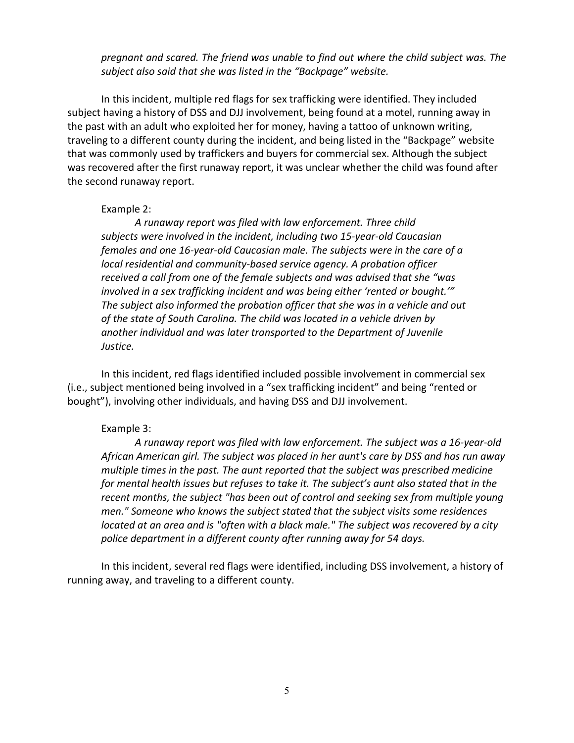*pregnant and scared. The friend was unable to find out where the child subject was. The subject also said that she was listed in the "Backpage" website.*

In this incident, multiple red flags for sex trafficking were identified. They included subject having a history of DSS and DJJ involvement, being found at a motel, running away in the past with an adult who exploited her for money, having a tattoo of unknown writing, traveling to a different county during the incident, and being listed in the "Backpage" website that was commonly used by traffickers and buyers for commercial sex. Although the subject was recovered after the first runaway report, it was unclear whether the child was found after the second runaway report.

#### Example 2:

*A runaway report was filed with law enforcement. Three child subjects were involved in the incident, including two 15-year-old Caucasian females and one 16-year-old Caucasian male. The subjects were in the care of a local residential and community-based service agency. A probation officer received a call from one of the female subjects and was advised that she "was involved in a sex trafficking incident and was being either 'rented or bought.'" The subject also informed the probation officer that she was in a vehicle and out of the state of South Carolina. The child was located in a vehicle driven by another individual and was later transported to the Department of Juvenile Justice.* 

In this incident, red flags identified included possible involvement in commercial sex (i.e., subject mentioned being involved in a "sex trafficking incident" and being "rented or bought"), involving other individuals, and having DSS and DJJ involvement.

#### Example 3:

*A runaway report was filed with law enforcement. The subject was a 16-year-old African American girl. The subject was placed in her aunt's care by DSS and has run away multiple times in the past. The aunt reported that the subject was prescribed medicine for mental health issues but refuses to take it. The subject's aunt also stated that in the recent months, the subject "has been out of control and seeking sex from multiple young men." Someone who knows the subject stated that the subject visits some residences located at an area and is "often with a black male." The subject was recovered by a city police department in a different county after running away for 54 days.*

In this incident, several red flags were identified, including DSS involvement, a history of running away, and traveling to a different county.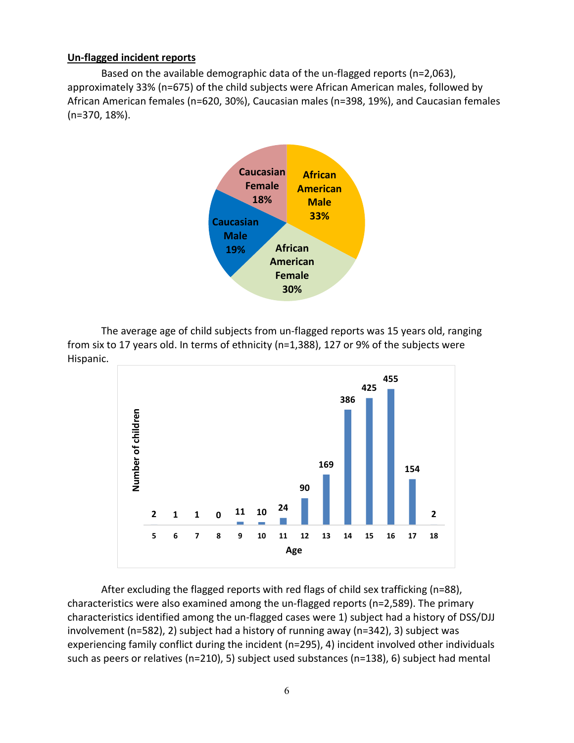#### <span id="page-8-0"></span>**Un-flagged incident reports**

Based on the available demographic data of the un-flagged reports (n=2,063), approximately 33% (n=675) of the child subjects were African American males, followed by African American females (n=620, 30%), Caucasian males (n=398, 19%), and Caucasian females (n=370, 18%).



The average age of child subjects from un-flagged reports was 15 years old, ranging from six to 17 years old. In terms of ethnicity (n=1,388), 127 or 9% of the subjects were Hispanic.



After excluding the flagged reports with red flags of child sex trafficking (n=88), characteristics were also examined among the un-flagged reports (n=2,589). The primary characteristics identified among the un-flagged cases were 1) subject had a history of DSS/DJJ involvement (n=582), 2) subject had a history of running away (n=342), 3) subject was experiencing family conflict during the incident (n=295), 4) incident involved other individuals such as peers or relatives (n=210), 5) subject used substances (n=138), 6) subject had mental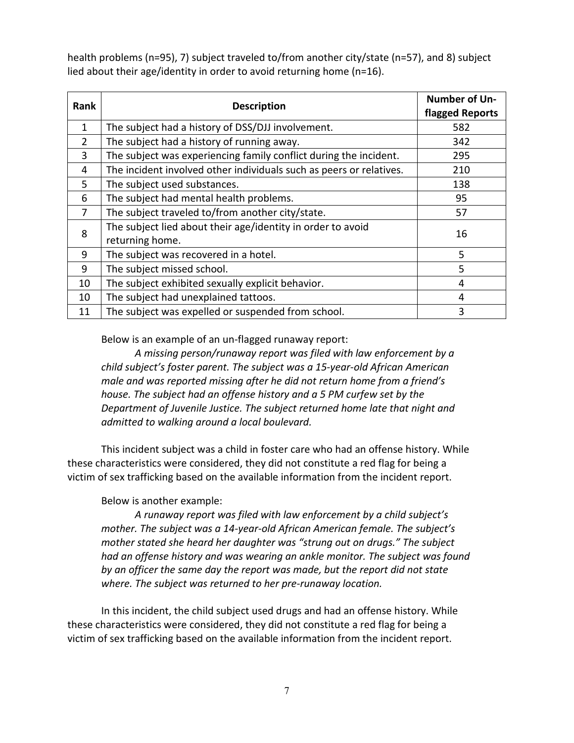health problems (n=95), 7) subject traveled to/from another city/state (n=57), and 8) subject lied about their age/identity in order to avoid returning home (n=16).

| Rank         | <b>Description</b>                                                             | <b>Number of Un-</b><br>flagged Reports |
|--------------|--------------------------------------------------------------------------------|-----------------------------------------|
| $\mathbf{1}$ | The subject had a history of DSS/DJJ involvement.                              | 582                                     |
| 2            | The subject had a history of running away.                                     | 342                                     |
| 3            | The subject was experiencing family conflict during the incident.              | 295                                     |
| 4            | The incident involved other individuals such as peers or relatives.            | 210                                     |
| 5            | The subject used substances.                                                   | 138                                     |
| 6            | The subject had mental health problems.                                        | 95                                      |
| 7            | The subject traveled to/from another city/state.                               | 57                                      |
| 8            | The subject lied about their age/identity in order to avoid<br>returning home. | 16                                      |
| 9            | The subject was recovered in a hotel.                                          | 5                                       |
| 9            | The subject missed school.                                                     | 5                                       |
| 10           | The subject exhibited sexually explicit behavior.                              | 4                                       |
| 10           | The subject had unexplained tattoos.                                           | 4                                       |
| 11           | The subject was expelled or suspended from school.                             | 3                                       |

Below is an example of an un-flagged runaway report:

*A missing person/runaway report was filed with law enforcement by a child subject's foster parent. The subject was a 15-year-old African American male and was reported missing after he did not return home from a friend's house. The subject had an offense history and a 5 PM curfew set by the Department of Juvenile Justice. The subject returned home late that night and admitted to walking around a local boulevard.*

This incident subject was a child in foster care who had an offense history. While these characteristics were considered, they did not constitute a red flag for being a victim of sex trafficking based on the available information from the incident report.

# Below is another example:

*A runaway report was filed with law enforcement by a child subject's mother. The subject was a 14-year-old African American female. The subject's mother stated she heard her daughter was "strung out on drugs." The subject*  had an offense history and was wearing an ankle monitor. The subject was found *by an officer the same day the report was made, but the report did not state where. The subject was returned to her pre-runaway location.*

In this incident, the child subject used drugs and had an offense history. While these characteristics were considered, they did not constitute a red flag for being a victim of sex trafficking based on the available information from the incident report.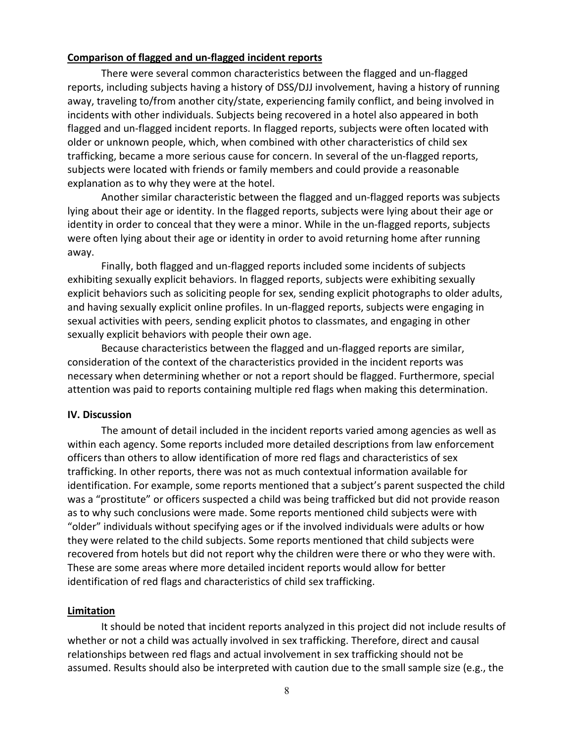#### <span id="page-10-0"></span>**Comparison of flagged and un-flagged incident reports**

There were several common characteristics between the flagged and un-flagged reports, including subjects having a history of DSS/DJJ involvement, having a history of running away, traveling to/from another city/state, experiencing family conflict, and being involved in incidents with other individuals. Subjects being recovered in a hotel also appeared in both flagged and un-flagged incident reports. In flagged reports, subjects were often located with older or unknown people, which, when combined with other characteristics of child sex trafficking, became a more serious cause for concern. In several of the un-flagged reports, subjects were located with friends or family members and could provide a reasonable explanation as to why they were at the hotel.

Another similar characteristic between the flagged and un-flagged reports was subjects lying about their age or identity. In the flagged reports, subjects were lying about their age or identity in order to conceal that they were a minor. While in the un-flagged reports, subjects were often lying about their age or identity in order to avoid returning home after running away.

Finally, both flagged and un-flagged reports included some incidents of subjects exhibiting sexually explicit behaviors. In flagged reports, subjects were exhibiting sexually explicit behaviors such as soliciting people for sex, sending explicit photographs to older adults, and having sexually explicit online profiles. In un-flagged reports, subjects were engaging in sexual activities with peers, sending explicit photos to classmates, and engaging in other sexually explicit behaviors with people their own age.

Because characteristics between the flagged and un-flagged reports are similar, consideration of the context of the characteristics provided in the incident reports was necessary when determining whether or not a report should be flagged. Furthermore, special attention was paid to reports containing multiple red flags when making this determination.

#### <span id="page-10-1"></span>**IV. Discussion**

The amount of detail included in the incident reports varied among agencies as well as within each agency. Some reports included more detailed descriptions from law enforcement officers than others to allow identification of more red flags and characteristics of sex trafficking. In other reports, there was not as much contextual information available for identification. For example, some reports mentioned that a subject's parent suspected the child was a "prostitute" or officers suspected a child was being trafficked but did not provide reason as to why such conclusions were made. Some reports mentioned child subjects were with "older" individuals without specifying ages or if the involved individuals were adults or how they were related to the child subjects. Some reports mentioned that child subjects were recovered from hotels but did not report why the children were there or who they were with. These are some areas where more detailed incident reports would allow for better identification of red flags and characteristics of child sex trafficking.

#### <span id="page-10-2"></span>**Limitation**

It should be noted that incident reports analyzed in this project did not include results of whether or not a child was actually involved in sex trafficking. Therefore, direct and causal relationships between red flags and actual involvement in sex trafficking should not be assumed. Results should also be interpreted with caution due to the small sample size (e.g., the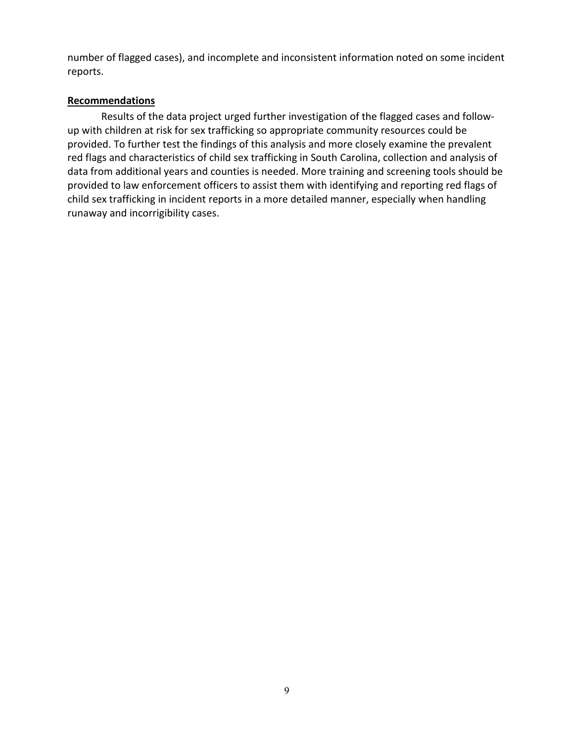number of flagged cases), and incomplete and inconsistent information noted on some incident reports.

## <span id="page-11-0"></span>**Recommendations**

Results of the data project urged further investigation of the flagged cases and followup with children at risk for sex trafficking so appropriate community resources could be provided. To further test the findings of this analysis and more closely examine the prevalent red flags and characteristics of child sex trafficking in South Carolina, collection and analysis of data from additional years and counties is needed. More training and screening tools should be provided to law enforcement officers to assist them with identifying and reporting red flags of child sex trafficking in incident reports in a more detailed manner, especially when handling runaway and incorrigibility cases.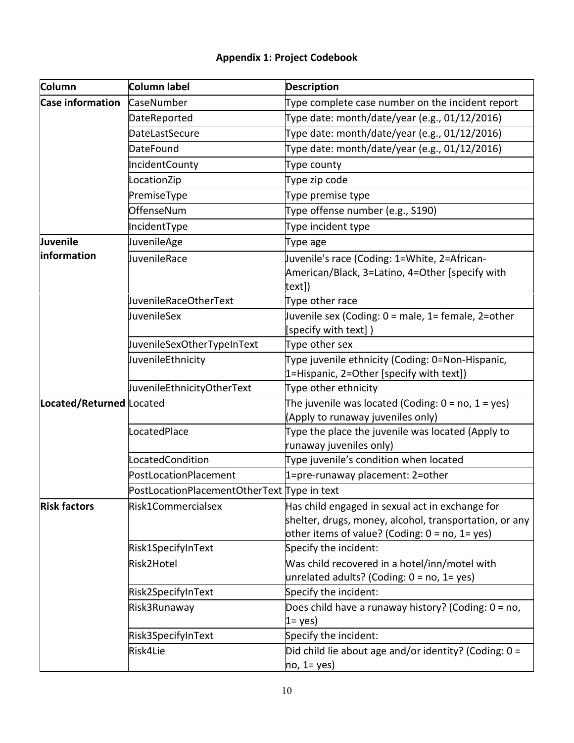# **Appendix 1: Project Codebook**

<span id="page-12-0"></span>

| Column                   | Column label                                | <b>Description</b>                                                                                                                                               |
|--------------------------|---------------------------------------------|------------------------------------------------------------------------------------------------------------------------------------------------------------------|
| <b>Case information</b>  | CaseNumber                                  | Type complete case number on the incident report                                                                                                                 |
|                          | DateReported                                | Type date: month/date/year (e.g., 01/12/2016)                                                                                                                    |
|                          | <b>DateLastSecure</b>                       | Type date: month/date/year (e.g., 01/12/2016)                                                                                                                    |
|                          | DateFound                                   | Type date: month/date/year (e.g., 01/12/2016)                                                                                                                    |
|                          | <b>IncidentCounty</b>                       | Type county                                                                                                                                                      |
|                          | LocationZip                                 | Type zip code                                                                                                                                                    |
|                          | PremiseType                                 | Type premise type                                                                                                                                                |
|                          | OffenseNum                                  | Type offense number (e.g., S190)                                                                                                                                 |
|                          | IncidentType                                | Type incident type                                                                                                                                               |
| Juvenile                 | JuvenileAge                                 | Type age                                                                                                                                                         |
| information              | JuvenileRace                                | Juvenile's race (Coding: 1=White, 2=African-<br>American/Black, 3=Latino, 4=Other [specify with<br>text])                                                        |
|                          | JuvenileRaceOtherText                       | Type other race                                                                                                                                                  |
|                          | JuvenileSex                                 | Juvenile sex (Coding: 0 = male, 1= female, 2=other<br>[specify with text])                                                                                       |
|                          | JuvenileSexOtherTypeInText                  | Type other sex                                                                                                                                                   |
|                          | JuvenileEthnicity                           | Type juvenile ethnicity (Coding: 0=Non-Hispanic,<br>1=Hispanic, 2=Other [specify with text])                                                                     |
|                          | JuvenileEthnicityOtherText                  | Type other ethnicity                                                                                                                                             |
| Located/Returned Located |                                             | The juvenile was located (Coding: $0 = no$ , $1 = yes$ )<br>(Apply to runaway juveniles only)                                                                    |
|                          | LocatedPlace                                | Type the place the juvenile was located (Apply to<br>runaway juveniles only)                                                                                     |
|                          | LocatedCondition                            | Type juvenile's condition when located                                                                                                                           |
|                          | PostLocationPlacement                       | 1=pre-runaway placement: 2=other                                                                                                                                 |
|                          | PostLocationPlacementOtherText Type in text |                                                                                                                                                                  |
| <b>Risk factors</b>      | Risk1Commercialsex                          | Has child engaged in sexual act in exchange for<br>shelter, drugs, money, alcohol, transportation, or any<br>other items of value? (Coding: $0 =$ no, $1 =$ yes) |
|                          | Risk1SpecifyInText                          | Specify the incident:                                                                                                                                            |
|                          | Risk2Hotel                                  | Was child recovered in a hotel/inn/motel with<br>unrelated adults? (Coding: $0 = no$ , $1 = yes$ )                                                               |
|                          | Risk2SpecifyInText                          | Specify the incident:                                                                                                                                            |
|                          | Risk3Runaway                                | Does child have a runaway history? (Coding: 0 = no,<br>$1 = yes$                                                                                                 |
|                          | Risk3SpecifyInText                          | Specify the incident:                                                                                                                                            |
|                          | Risk4Lie                                    | Did child lie about age and/or identity? (Coding: 0 =<br>$no, 1 = yes)$                                                                                          |